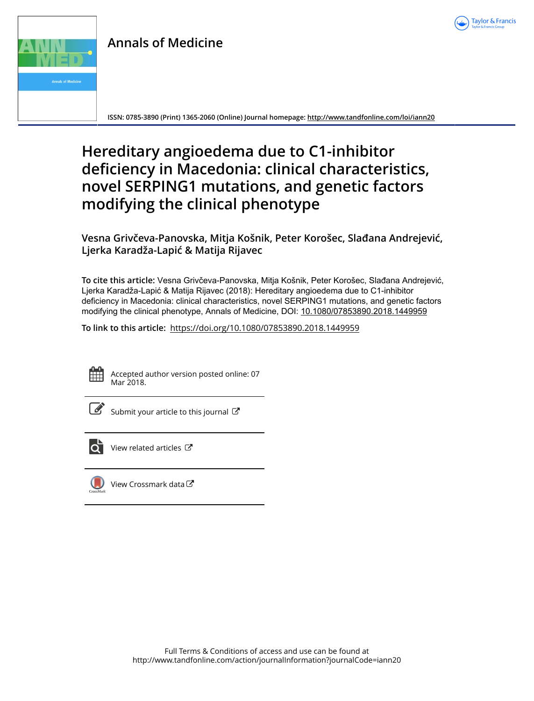

# **Annals of Medicine**



**ISSN: 0785-3890 (Print) 1365-2060 (Online) Journal homepage:<http://www.tandfonline.com/loi/iann20>**

# **Hereditary angioedema due to C1-inhibitor deficiency in Macedonia: clinical characteristics, novel SERPING1 mutations, and genetic factors modifying the clinical phenotype**

**Vesna Grivčeva-Panovska, Mitja Košnik, Peter Korošec, Slađana Andrejević, Ljerka Karadža-Lapić & Matija Rijavec**

**To cite this article:** Vesna Grivčeva-Panovska, Mitja Košnik, Peter Korošec, Slađana Andrejević, Ljerka Karadža-Lapić & Matija Rijavec (2018): Hereditary angioedema due to C1-inhibitor deficiency in Macedonia: clinical characteristics, novel SERPING1 mutations, and genetic factors modifying the clinical phenotype, Annals of Medicine, DOI: [10.1080/07853890.2018.1449959](http://www.tandfonline.com/action/showCitFormats?doi=10.1080/07853890.2018.1449959)

**To link to this article:** <https://doi.org/10.1080/07853890.2018.1449959>



Accepted author version posted online: 07 Mar 2018.



 $\overline{\mathscr{L}}$  [Submit your article to this journal](http://www.tandfonline.com/action/authorSubmission?journalCode=iann20&show=instructions)  $\mathbb{Z}$ 



 $\overline{Q}$  [View related articles](http://www.tandfonline.com/doi/mlt/10.1080/07853890.2018.1449959)  $\mathbb{Z}$ 



[View Crossmark data](http://crossmark.crossref.org/dialog/?doi=10.1080/07853890.2018.1449959&domain=pdf&date_stamp=2018-03-07)<sup>C</sup>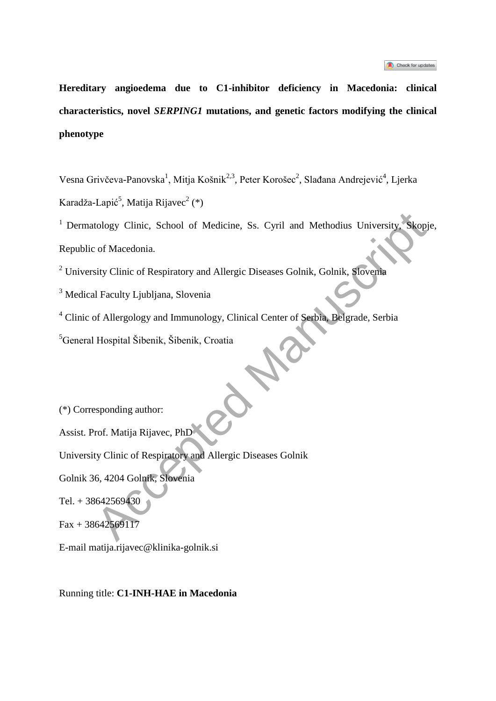| Check for updates |  |
|-------------------|--|
|-------------------|--|

**Hereditary angioedema due to C1-inhibitor deficiency in Macedonia: clinical characteristics, novel** *SERPING1* **mutations, and genetic factors modifying the clinical phenotype**

Vesna Grivčeva-Panovska<sup>1</sup>, Mitja Košnik<sup>2,3</sup>, Peter Korošec<sup>2</sup>, Slađana Andrejević<sup>4</sup>, Ljerka Karadža-Lapić $^5$ , Matija Rijavec $^2$  (\*)

<sup>1</sup> Dermatology Clinic, School of Medicine, Ss. Cyril and Methodius University, Skopje, Republic of Macedonia. tology Clinic, School of Medicine, Ss. Cyril and Methodius University, Skop<br>
c of Macedonia.<br>
sity Clinic of Respiratory and Allergic Diseases Golnik, Golnik, Slovenia<br>
Il Faculty Ljubljana, Slovenia<br>
Il Faculty Ljubljana,

<sup>2</sup> University Clinic of Respiratory and Allergic Diseases Golnik, Golnik, Slovenia

<sup>3</sup> Medical Faculty Ljubljana, Slovenia

<sup>4</sup> Clinic of Allergology and Immunology, Clinical Center of Serbia, Belgrade, Serbia

<sup>5</sup>General Hospital Šibenik, Šibenik, Croatia

(\*) Corresponding author:

Assist. Prof. Matija Rijavec, PhD

University Clinic of Respiratory and Allergic Diseases Golnik

Golnik 36, 4204 Golnik, Slovenia

Tel. + 38642569430

 $Fax + 38642569117$ 

E-mail matija.rijavec@klinika-golnik.si

Running title: **C1-INH-HAE in Macedonia**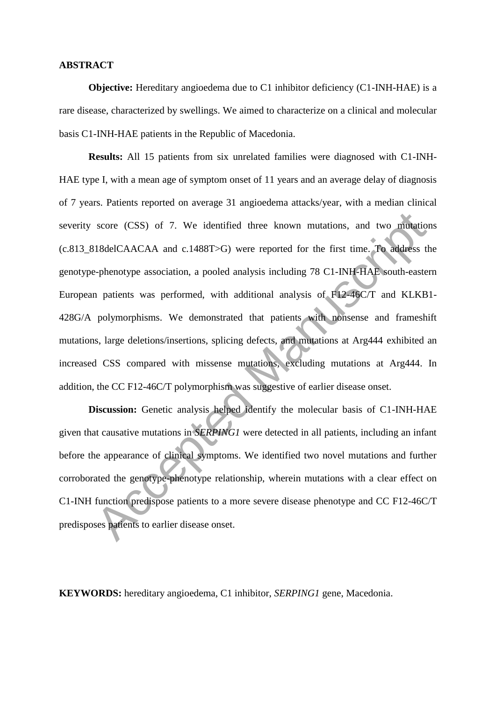#### **ABSTRACT**

**Objective:** Hereditary angioedema due to C1 inhibitor deficiency (C1-INH-HAE) is a rare disease, characterized by swellings. We aimed to characterize on a clinical and molecular basis C1-INH-HAE patients in the Republic of Macedonia.

**Results:** All 15 patients from six unrelated families were diagnosed with C1-INH-HAE type I, with a mean age of symptom onset of 11 years and an average delay of diagnosis of 7 years. Patients reported on average 31 angioedema attacks/year, with a median clinical severity score (CSS) of 7. We identified three known mutations, and two mutations (c.813\_818delCAACAA and c.1488T>G) were reported for the first time. To address the genotype-phenotype association, a pooled analysis including 78 C1-INH-HAE south-eastern European patients was performed, with additional analysis of F12-46C/T and KLKB1- 428G/A polymorphisms. We demonstrated that patients with nonsense and frameshift mutations, large deletions/insertions, splicing defects, and mutations at Arg444 exhibited an increased CSS compared with missense mutations, excluding mutations at Arg444. In addition, the CC F12-46C/T polymorphism was suggestive of earlier disease onset. score (CSS) of 7. We identified three known mutations, and two mutations<br>18delCAACAA and c.1488T>G) were reported for the first time. To address tra-phenotype association, a pooled analysis including 78 C1-INH-HAE south-e

**Discussion:** Genetic analysis helped identify the molecular basis of C1-INH-HAE given that causative mutations in *SERPING1* were detected in all patients, including an infant before the appearance of clinical symptoms. We identified two novel mutations and further corroborated the genotype-phenotype relationship, wherein mutations with a clear effect on C1-INH function predispose patients to a more severe disease phenotype and CC F12-46C/T predisposes patients to earlier disease onset.

**KEYWORDS:** hereditary angioedema, C1 inhibitor, *SERPING1* gene, Macedonia.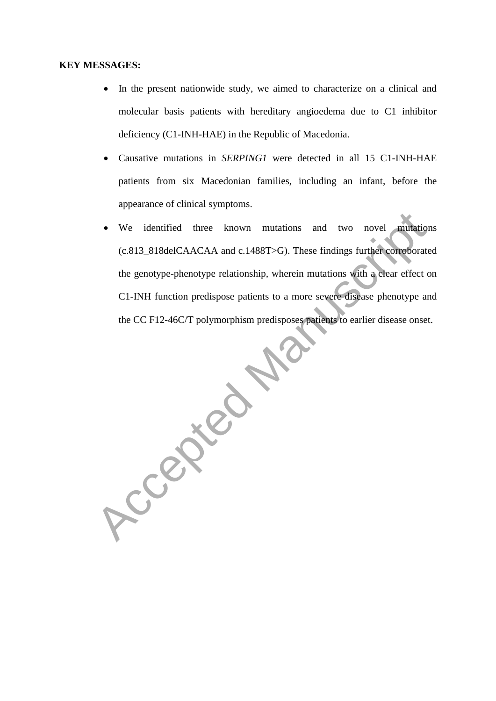#### **KEY MESSAGES:**

- In the present nationwide study, we aimed to characterize on a clinical and molecular basis patients with hereditary angioedema due to C1 inhibitor deficiency (C1-INH-HAE) in the Republic of Macedonia.
- Causative mutations in *SERPING1* were detected in all 15 C1-INH-HAE patients from six Macedonian families, including an infant, before the appearance of clinical symptoms.
- We identified three known mutations and two novel mutations (c.813\_818delCAACAA and c.1488T>G). These findings further corroborated the genotype-phenotype relationship, wherein mutations with a clear effect on C1-INH function predispose patients to a more severe disease phenotype and the CC F12-46C/T polymorphism predisposes patients to earlier disease onset.

Accepted M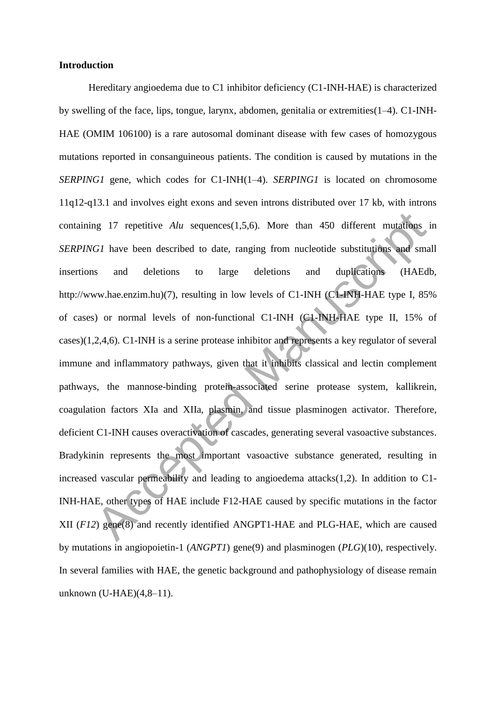#### **Introduction**

Hereditary angioedema due to C1 inhibitor deficiency (C1-INH-HAE) is characterized by swelling of the face, lips, tongue, larynx, abdomen, genitalia or extremities(1–4). C1-INH-HAE (OMIM 106100) is a rare autosomal dominant disease with few cases of homozygous mutations reported in consanguineous patients. The condition is caused by mutations in the *SERPING1* gene, which codes for C1-INH(1–4). *SERPING1* is located on chromosome 11q12-q13.1 and involves eight exons and seven introns distributed over 17 kb, with introns containing 17 repetitive *Alu* sequences(1,5,6). More than 450 different mutations in *SERPING1* have been described to date, ranging from nucleotide substitutions and small insertions and deletions to large deletions and duplications (HAEdb, http://www.hae.enzim.hu)(7), resulting in low levels of C1-INH (C1-INH-HAE type I, 85% of cases) or normal levels of non-functional C1-INH (C1-INH-HAE type II, 15% of cases)(1,2,4,6). C1-INH is a serine protease inhibitor and represents a key regulator of several immune and inflammatory pathways, given that it inhibits classical and lectin complement pathways, the mannose-binding protein-associated serine protease system, kallikrein, coagulation factors XIa and XIIa, plasmin, and tissue plasminogen activator. Therefore, deficient C1-INH causes overactivation of cascades, generating several vasoactive substances. Bradykinin represents the most important vasoactive substance generated, resulting in increased vascular permeability and leading to angioedema attacks(1,2). In addition to C1- INH-HAE, other types of HAE include F12-HAE caused by specific mutations in the factor XII (*F12*) gene(8) and recently identified ANGPT1-HAE and PLG-HAE, which are caused by mutations in angiopoietin-1 (*ANGPT1*) gene(9) and plasminogen (*PLG*)(10), respectively. In several families with HAE, the genetic background and pathophysiology of disease remain unknown (U-HAE)(4,8–11). mannet at the sequences (1,5,6). More than 450 different mutations<br>
G1 have been described to date, ranging from nucleotide substitutions and sm<br>
and deletions to large deletions and duplications (HAEc<br>
ww.hae.enzim.hu)(7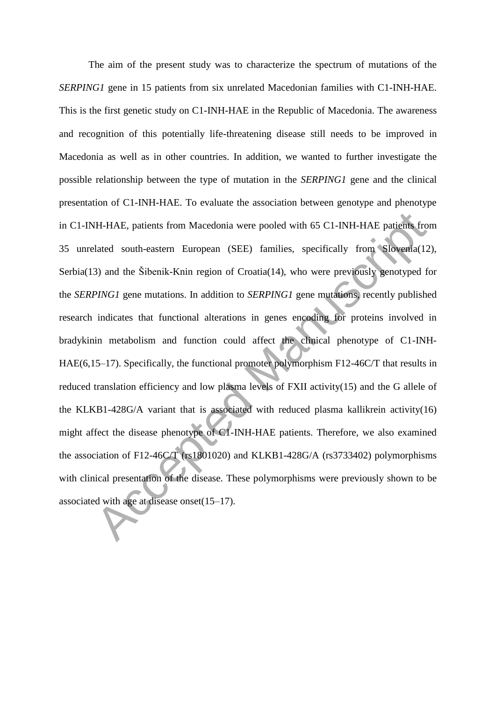The aim of the present study was to characterize the spectrum of mutations of the *SERPING1* gene in 15 patients from six unrelated Macedonian families with C1-INH-HAE. This is the first genetic study on C1-INH-HAE in the Republic of Macedonia. The awareness and recognition of this potentially life-threatening disease still needs to be improved in Macedonia as well as in other countries. In addition, we wanted to further investigate the possible relationship between the type of mutation in the *SERPING1* gene and the clinical presentation of C1-INH-HAE. To evaluate the association between genotype and phenotype in C1-INH-HAE, patients from Macedonia were pooled with 65 C1-INH-HAE patients from 35 unrelated south-eastern European (SEE) families, specifically from Slovenia(12), Serbia(13) and the Šibenik-Knin region of Croatia(14), who were previously genotyped for the *SERPING1* gene mutations. In addition to *SERPING1* gene mutations, recently published research indicates that functional alterations in genes encoding for proteins involved in bradykinin metabolism and function could affect the clinical phenotype of C1-INH-HAE(6,15–17). Specifically, the functional promoter polymorphism F12-46C/T that results in reduced translation efficiency and low plasma levels of FXII activity(15) and the G allele of the KLKB1-428G/A variant that is associated with reduced plasma kallikrein activity(16) might affect the disease phenotype of C1-INH-HAE patients. Therefore, we also examined the association of F12-46C/T (rs1801020) and KLKB1-428G/A (rs3733402) polymorphisms with clinical presentation of the disease. These polymorphisms were previously shown to be associated with age at disease onset(15–17). IH-HAE, patients from Macedonia were pooled with 65 C1-INH-HAE patients from<br>dated south-eastern European (SEE) families, specifically from Slovenia (1<br>3) and the Šibenik-Knin region of Croatia (14), who were previously ge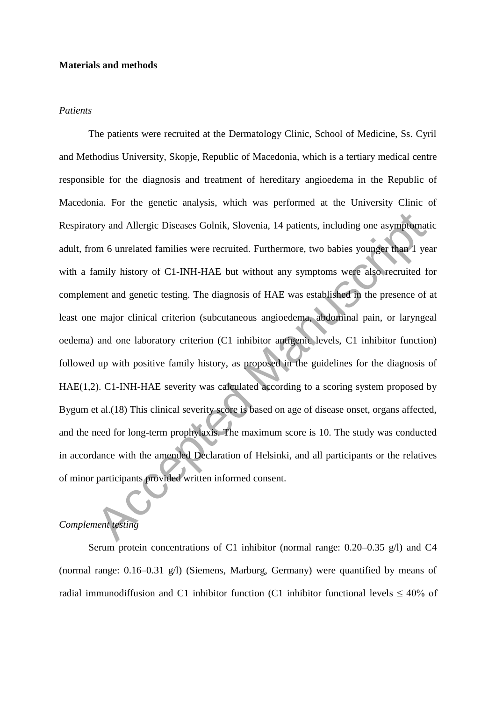# **Materials and methods**

#### *Patients*

The patients were recruited at the Dermatology Clinic, School of Medicine, Ss. Cyril and Methodius University, Skopje, Republic of Macedonia, which is a tertiary medical centre responsible for the diagnosis and treatment of hereditary angioedema in the Republic of Macedonia. For the genetic analysis, which was performed at the University Clinic of Respiratory and Allergic Diseases Golnik, Slovenia, 14 patients, including one asymptomatic adult, from 6 unrelated families were recruited. Furthermore, two babies younger than 1 year with a family history of C1-INH-HAE but without any symptoms were also recruited for complement and genetic testing. The diagnosis of HAE was established in the presence of at least one major clinical criterion (subcutaneous angioedema, abdominal pain, or laryngeal oedema) and one laboratory criterion (C1 inhibitor antigenic levels, C1 inhibitor function) followed up with positive family history, as proposed in the guidelines for the diagnosis of HAE(1,2). C1-INH-HAE severity was calculated according to a scoring system proposed by Bygum et al.(18) This clinical severity score is based on age of disease onset, organs affected, and the need for long-term prophylaxis. The maximum score is 10. The study was conducted in accordance with the amended Declaration of Helsinki, and all participants or the relatives of minor participants provided written informed consent. ory and Allergic Diseases Golnik, Slovenia, 14 patients, including one asymptom<br>am 6 unrelated families were recruited. Furthermore, two babies younger than 1 yearnily history of C1-INH-HAE but without any symptoms were al

# *Complement testing*

Serum protein concentrations of C1 inhibitor (normal range: 0.20–0.35 g/l) and C4 (normal range: 0.16–0.31 g/l) (Siemens, Marburg, Germany) were quantified by means of radial immunodiffusion and C1 inhibitor function (C1 inhibitor functional levels  $\leq 40\%$  of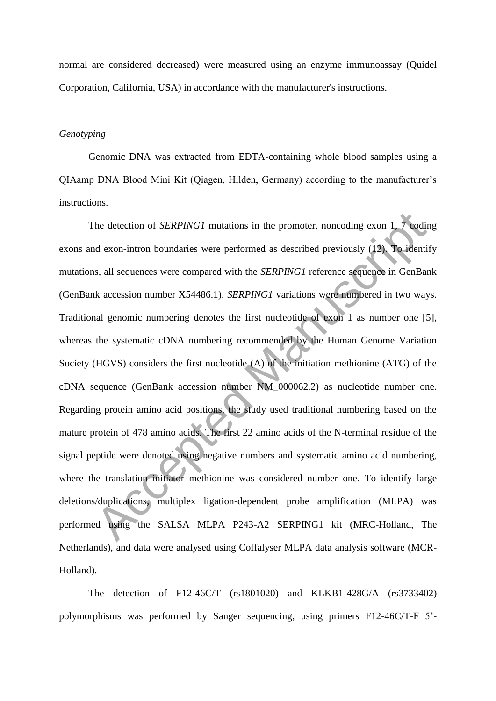normal are considered decreased) were measured using an enzyme immunoassay (Quidel Corporation, California, USA) in accordance with the manufacturer's instructions.

# *Genotyping*

Genomic DNA was extracted from EDTA-containing whole blood samples using a QIAamp DNA Blood Mini Kit (Qiagen, Hilden, Germany) according to the manufacturer's instructions.

The detection of *SERPING1* mutations in the promoter, noncoding exon 1, 7 coding exons and exon-intron boundaries were performed as described previously (12). To identify mutations, all sequences were compared with the *SERPING1* reference sequence in GenBank (GenBank accession number X54486.1). *SERPING1* variations were numbered in two ways. Traditional genomic numbering denotes the first nucleotide of exon 1 as number one [5], whereas the systematic cDNA numbering recommended by the Human Genome Variation Society (HGVS) considers the first nucleotide (A) of the initiation methionine (ATG) of the cDNA sequence (GenBank accession number NM\_000062.2) as nucleotide number one. Regarding protein amino acid positions, the study used traditional numbering based on the mature protein of 478 amino acids. The first 22 amino acids of the N-terminal residue of the signal peptide were denoted using negative numbers and systematic amino acid numbering, where the translation initiator methionine was considered number one. To identify large deletions/duplications, multiplex ligation-dependent probe amplification (MLPA) was performed using the SALSA MLPA P243-A2 SERPING1 kit (MRC-Holland, The Netherlands), and data were analysed using Coffalyser MLPA data analysis software (MCR-Holland). The detection of *SERPING1* mutations in the promoter, noncoding exon 1, 7 eodind exon-intron boundaries were performed as described previously (12). To ident is, all sequences were compared with the *SERPING1* variations

The detection of F12-46C/T (rs1801020) and KLKB1-428G/A (rs3733402) polymorphisms was performed by Sanger sequencing, using primers F12-46C/T-F 5'-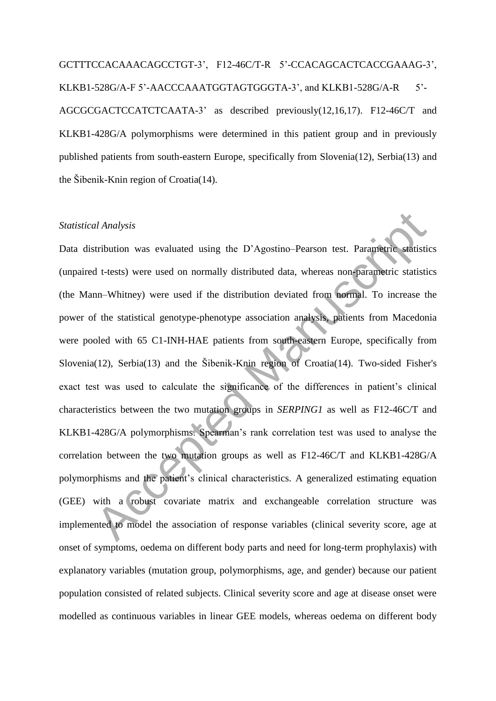GCTTTCCACAAACAGCCTGT-3', F12-46C/T-R 5'-CCACAGCACTCACCGAAAG-3', KLKB1-528G/A-F 5'-AACCCAAATGGTAGTGGGTA-3', and KLKB1-528G/A-R 5'-AGCGCGACTCCATCTCAATA-3' as described previously(12,16,17). F12-46C/T and KLKB1-428G/A polymorphisms were determined in this patient group and in previously published patients from south-eastern Europe, specifically from Slovenia(12), Serbia(13) and the Šibenik-Knin region of Croatia(14).

# *Statistical Analysis*

Data distribution was evaluated using the D'Agostino–Pearson test. Parametric statistics (unpaired t-tests) were used on normally distributed data, whereas non-parametric statistics (the Mann–Whitney) were used if the distribution deviated from normal. To increase the power of the statistical genotype-phenotype association analysis, patients from Macedonia were pooled with 65 C1-INH-HAE patients from south-eastern Europe, specifically from Slovenia(12), Serbia(13) and the Šibenik-Knin region of Croatia(14). Two-sided Fisher's exact test was used to calculate the significance of the differences in patient's clinical characteristics between the two mutation groups in *SERPING1* as well as F12-46C/T and KLKB1-428G/A polymorphisms. Spearman's rank correlation test was used to analyse the correlation between the two mutation groups as well as F12-46C/T and KLKB1-428G/A polymorphisms and the patient's clinical characteristics. A generalized estimating equation (GEE) with a robust covariate matrix and exchangeable correlation structure was implemented to model the association of response variables (clinical severity score, age at onset of symptoms, oedema on different body parts and need for long-term prophylaxis) with explanatory variables (mutation group, polymorphisms, age, and gender) because our patient population consisted of related subjects. Clinical severity score and age at disease onset were modelled as continuous variables in linear GEE models, whereas oedema on different body al Analysis<br>
stribution was evaluated using the D'Agostino-Pearson test. Parametric statist<br>
d t-tests) were used on normally distributed data, whereas non-parametric statist<br>
nn-Whitney) were used if the distribution devi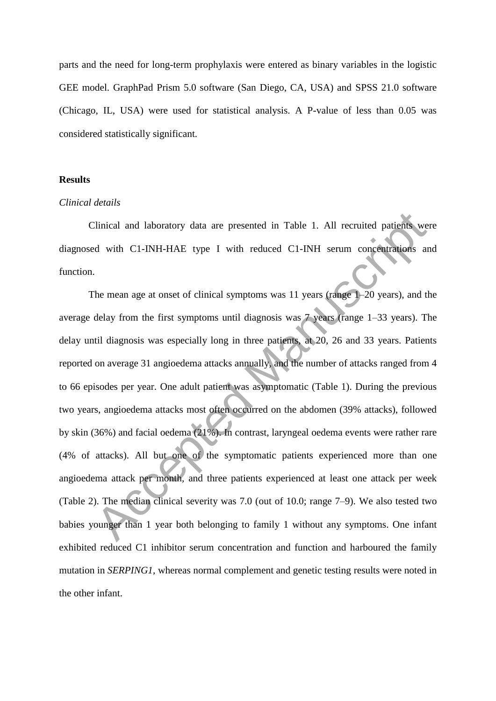parts and the need for long-term prophylaxis were entered as binary variables in the logistic GEE model. GraphPad Prism 5.0 software (San Diego, CA, USA) and SPSS 21.0 software (Chicago, IL, USA) were used for statistical analysis. A P-value of less than 0.05 was considered statistically significant.

# **Results**

#### *Clinical details*

Clinical and laboratory data are presented in Table 1. All recruited patients were diagnosed with C1-INH-HAE type I with reduced C1-INH serum concentrations and function.

The mean age at onset of clinical symptoms was 11 years (range 1–20 years), and the average delay from the first symptoms until diagnosis was 7 years (range 1–33 years). The delay until diagnosis was especially long in three patients, at 20, 26 and 33 years. Patients reported on average 31 angioedema attacks annually, and the number of attacks ranged from 4 to 66 episodes per year. One adult patient was asymptomatic (Table 1). During the previous two years, angioedema attacks most often occurred on the abdomen (39% attacks), followed by skin (36%) and facial oedema (21%). In contrast, laryngeal oedema events were rather rare (4% of attacks). All but one of the symptomatic patients experienced more than one angioedema attack per month, and three patients experienced at least one attack per week (Table 2). The median clinical severity was 7.0 (out of 10.0; range 7–9). We also tested two babies younger than 1 year both belonging to family 1 without any symptoms. One infant exhibited reduced C1 inhibitor serum concentration and function and harboured the family mutation in *SERPING1*, whereas normal complement and genetic testing results were noted in the other infant. Chinical and laboratory data are presented in Table 1. All recruited patients we<br>d with C1-INH-HAE type I with reduced C1-INH serum concentrations a<br>characteristic discussions of clinical symptoms was 11 years (range 1-20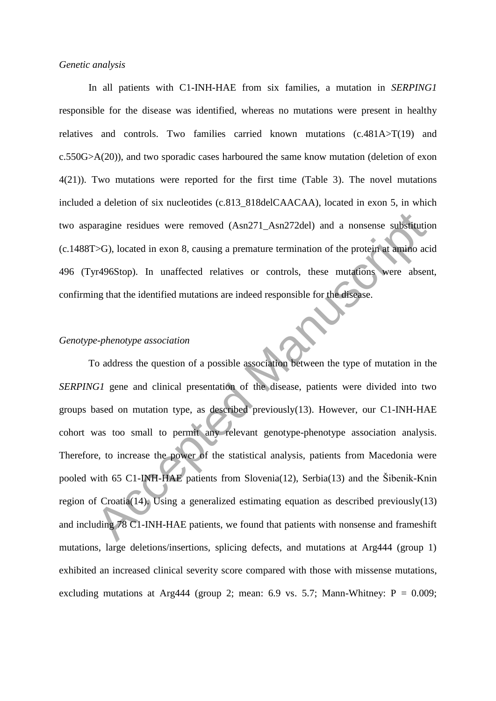#### *Genetic analysis*

In all patients with C1-INH-HAE from six families, a mutation in *SERPING1* responsible for the disease was identified, whereas no mutations were present in healthy relatives and controls. Two families carried known mutations (c.481A>T(19) and c.550G>A(20)), and two sporadic cases harboured the same know mutation (deletion of exon 4(21)). Two mutations were reported for the first time (Table 3). The novel mutations included a deletion of six nucleotides (c.813\_818delCAACAA), located in exon 5, in which two asparagine residues were removed (Asn271\_Asn272del) and a nonsense substitution (c.1488T>G), located in exon 8, causing a premature termination of the protein at amino acid 496 (Tyr496Stop). In unaffected relatives or controls, these mutations were absent, confirming that the identified mutations are indeed responsible for the disease.

#### *Genotype-phenotype association*

To address the question of a possible association between the type of mutation in the *SERPING1* gene and clinical presentation of the disease, patients were divided into two groups based on mutation type, as described previously(13). However, our C1-INH-HAE cohort was too small to permit any relevant genotype-phenotype association analysis. Therefore, to increase the power of the statistical analysis, patients from Macedonia were pooled with 65 C1-INH-HAE patients from Slovenia(12), Serbia(13) and the Šibenik-Knin region of Croatia(14). Using a generalized estimating equation as described previously(13) and including 78 C1-INH-HAE patients, we found that patients with nonsense and frameshift mutations, large deletions/insertions, splicing defects, and mutations at Arg444 (group 1) exhibited an increased clinical severity score compared with those with missense mutations, excluding mutations at Arg444 (group 2; mean: 6.9 vs. 5.7; Mann-Whitney:  $P = 0.009$ ; aragine residues were removed  $(Asn271_Asn272del)$  and a nonsense substitutives ( $\sim$ G), located in exon 8, causing a premature termination of the protein at amino at  $\sim$ r496Stop). In unaffected relatives or controls, these m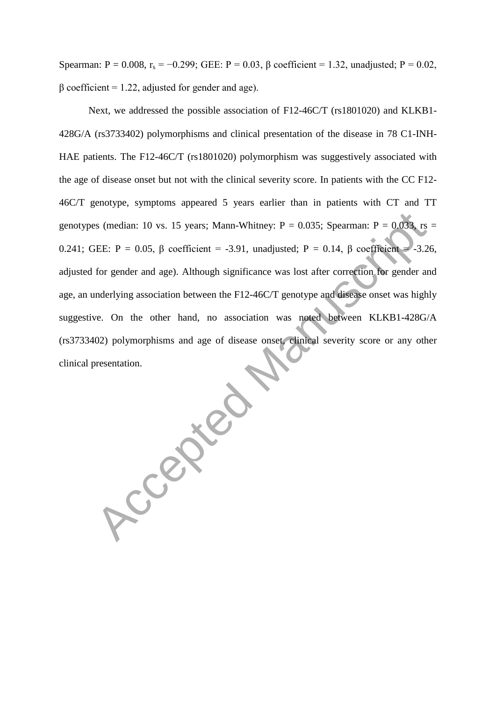Spearman:  $P = 0.008$ ,  $r_s = -0.299$ ; GEE:  $P = 0.03$ ,  $\beta$  coefficient = 1.32, unadjusted;  $P = 0.02$ ,  $β$  coefficient = 1.22, adjusted for gender and age).

Next, we addressed the possible association of F12-46C/T (rs1801020) and KLKB1- 428G/A (rs3733402) polymorphisms and clinical presentation of the disease in 78 C1-INH-HAE patients. The F12-46C/T (rs1801020) polymorphism was suggestively associated with the age of disease onset but not with the clinical severity score. In patients with the CC F12- 46C/T genotype, symptoms appeared 5 years earlier than in patients with CT and TT genotypes (median: 10 vs. 15 years; Mann-Whitney:  $P = 0.035$ ; Spearman:  $P = 0.033$ , rs = 0.241; GEE: P = 0.05, β coefficient = -3.91, unadjusted; P = 0.14, β coefficient = -3.26, adjusted for gender and age). Although significance was lost after correction for gender and age, an underlying association between the F12-46C/T genotype and disease onset was highly suggestive. On the other hand, no association was noted between KLKB1-428G/A (rs3733402) polymorphisms and age of disease onset, clinical severity score or any other

clinical presentation.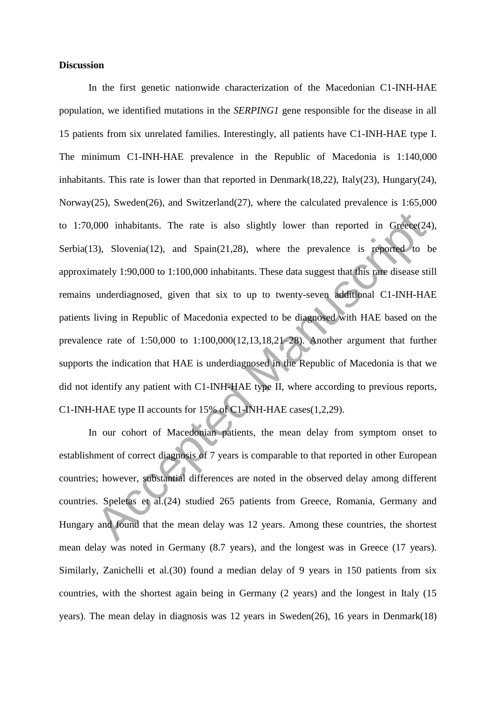# **Discussion**

In the first genetic nationwide characterization of the Macedonian C1-INH-HAE population, we identified mutations in the *SERPING1* gene responsible for the disease in all 15 patients from six unrelated families. Interestingly, all patients have C1-INH-HAE type I. The minimum C1-INH-HAE prevalence in the Republic of Macedonia is 1:140,000 inhabitants. This rate is lower than that reported in Denmark(18,22), Italy(23), Hungary(24), Norway(25), Sweden(26), and Switzerland(27), where the calculated prevalence is 1:65,000 to 1:70,000 inhabitants. The rate is also slightly lower than reported in Greece(24), Serbia(13), Slovenia(12), and Spain(21,28), where the prevalence is reported to be approximately 1:90,000 to 1:100,000 inhabitants. These data suggest that this rare disease still remains underdiagnosed, given that six to up to twenty-seven additional C1-INH-HAE patients living in Republic of Macedonia expected to be diagnosed with HAE based on the prevalence rate of 1:50,000 to 1:100,000(12,13,18,21–28). Another argument that further supports the indication that HAE is underdiagnosed in the Republic of Macedonia is that we did not identify any patient with C1-INH-HAE type II, where according to previous reports, C1-INH-HAE type II accounts for 15% of C1-INH-HAE cases(1,2,29). 000 inhabitants. The rate is also slightly lower than reported in Greece(2<br>3), Slovenia(12), and Spain(21,28), where the prevalence is reported to<br>mately 1:90,000 to 1:100,000 inhabitants. These data suggest that this rar

In our cohort of Macedonian patients, the mean delay from symptom onset to establishment of correct diagnosis of 7 years is comparable to that reported in other European countries; however, substantial differences are noted in the observed delay among different countries. Speletas et al.(24) studied 265 patients from Greece, Romania, Germany and Hungary and found that the mean delay was 12 years. Among these countries, the shortest mean delay was noted in Germany (8.7 years), and the longest was in Greece (17 years). Similarly, Zanichelli et al.(30) found a median delay of 9 years in 150 patients from six countries, with the shortest again being in Germany (2 years) and the longest in Italy (15 years). The mean delay in diagnosis was 12 years in Sweden(26), 16 years in Denmark(18)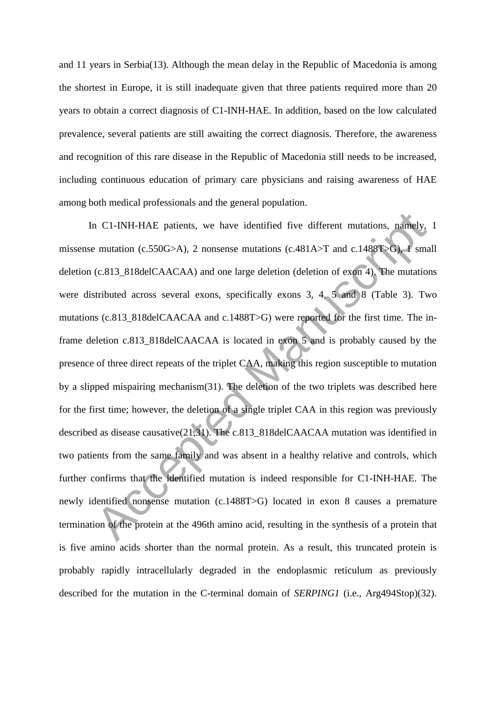and 11 years in Serbia(13). Although the mean delay in the Republic of Macedonia is among the shortest in Europe, it is still inadequate given that three patients required more than 20 years to obtain a correct diagnosis of C1-INH-HAE. In addition, based on the low calculated prevalence, several patients are still awaiting the correct diagnosis. Therefore, the awareness and recognition of this rare disease in the Republic of Macedonia still needs to be increased, including continuous education of primary care physicians and raising awareness of HAE among both medical professionals and the general population.

In C1-INH-HAE patients, we have identified five different mutations, namely, 1 missense mutation (c.550G>A), 2 nonsense mutations (c.481A>T and c.1488T>G), 1 small deletion (c.813\_818delCAACAA) and one large deletion (deletion of exon 4). The mutations were distributed across several exons, specifically exons 3, 4, 5 and 8 (Table 3). Two mutations (c.813\_818delCAACAA and c.1488T>G) were reported for the first time. The inframe deletion c.813\_818delCAACAA is located in exon 5 and is probably caused by the presence of three direct repeats of the triplet CAA, making this region susceptible to mutation by a slipped mispairing mechanism(31). The deletion of the two triplets was described here for the first time; however, the deletion of a single triplet CAA in this region was previously described as disease causative(21,31). The c.813\_818delCAACAA mutation was identified in two patients from the same family and was absent in a healthy relative and controls, which further confirms that the identified mutation is indeed responsible for C1-INH-HAE. The newly identified nonsense mutation (c.1488T>G) located in exon 8 causes a premature termination of the protein at the 496th amino acid, resulting in the synthesis of a protein that is five amino acids shorter than the normal protein. As a result, this truncated protein is probably rapidly intracellularly degraded in the endoplasmic reticulum as previously described for the mutation in the C-terminal domain of *SERPING1* (i.e., Arg494Stop)(32). n C1-INH-HAE patients, we have identified five different mutations, namely,<br>emutation (c.550G>A), 2 nonsense mutations (c.481A>T and c.1488T\en) and<br>(c.813\_818delCAACAA) and one large deletion (deletion of exon 4). The mu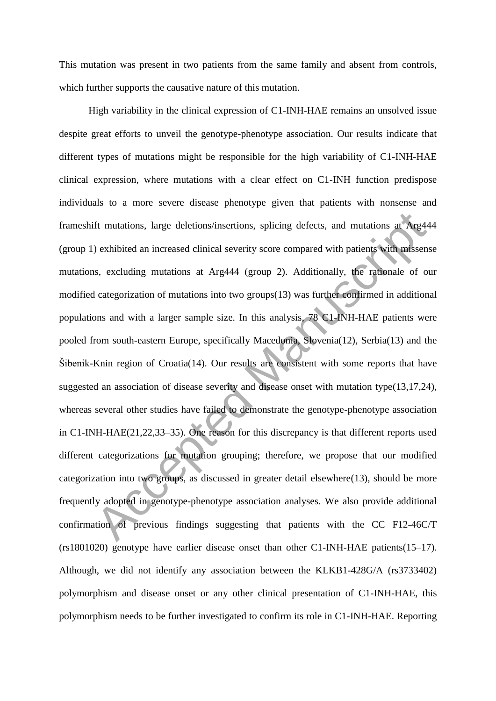This mutation was present in two patients from the same family and absent from controls, which further supports the causative nature of this mutation.

High variability in the clinical expression of C1-INH-HAE remains an unsolved issue despite great efforts to unveil the genotype-phenotype association. Our results indicate that different types of mutations might be responsible for the high variability of C1-INH-HAE clinical expression, where mutations with a clear effect on C1-INH function predispose individuals to a more severe disease phenotype given that patients with nonsense and frameshift mutations, large deletions/insertions, splicing defects, and mutations at Arg444 (group 1) exhibited an increased clinical severity score compared with patients with missense mutations, excluding mutations at Arg444 (group 2). Additionally, the rationale of our modified categorization of mutations into two groups(13) was further confirmed in additional populations and with a larger sample size. In this analysis, 78 C1-INH-HAE patients were pooled from south-eastern Europe, specifically Macedonia, Slovenia(12), Serbia(13) and the Šibenik-Knin region of Croatia(14). Our results are consistent with some reports that have suggested an association of disease severity and disease onset with mutation type(13,17,24), whereas several other studies have failed to demonstrate the genotype-phenotype association in C1-INH-HAE(21,22,33–35). One reason for this discrepancy is that different reports used different categorizations for mutation grouping; therefore, we propose that our modified categorization into two groups, as discussed in greater detail elsewhere(13), should be more frequently adopted in genotype-phenotype association analyses. We also provide additional confirmation of previous findings suggesting that patients with the CC F12-46C/T (rs1801020) genotype have earlier disease onset than other C1-INH-HAE patients(15–17). Although, we did not identify any association between the KLKB1-428G/A (rs3733402) polymorphism and disease onset or any other clinical presentation of C1-INH-HAE, this polymorphism needs to be further investigated to confirm its role in C1-INH-HAE. Reporting ft mutations, large deletions/insertions, splicing defects, and mutations at Arg4<br>
2) exhibited an increased clinical severity score compared with patients with misser<br>
1s, excluding mutations at Arg444 (group 2). Additio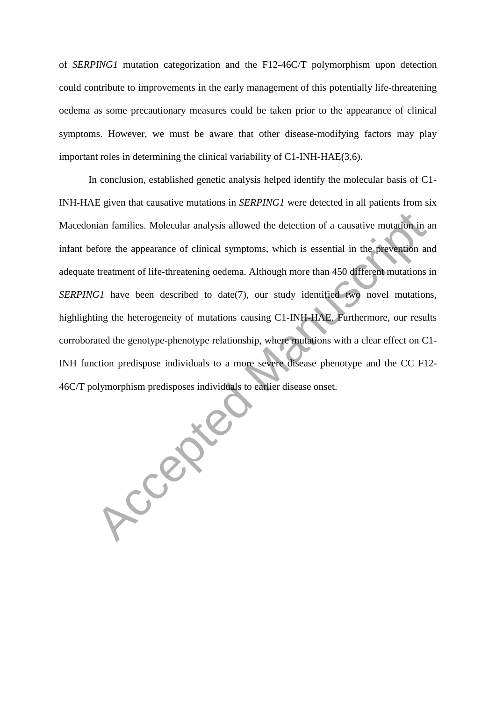of *SERPING1* mutation categorization and the F12-46C/T polymorphism upon detection could contribute to improvements in the early management of this potentially life-threatening oedema as some precautionary measures could be taken prior to the appearance of clinical symptoms. However, we must be aware that other disease-modifying factors may play important roles in determining the clinical variability of C1-INH-HAE(3,6).

In conclusion, established genetic analysis helped identify the molecular basis of C1- INH-HAE given that causative mutations in *SERPING1* were detected in all patients from six Macedonian families. Molecular analysis allowed the detection of a causative mutation in an infant before the appearance of clinical symptoms, which is essential in the prevention and adequate treatment of life-threatening oedema. Although more than 450 different mutations in *SERPING1* have been described to date(7), our study identified two novel mutations, highlighting the heterogeneity of mutations causing C1-INH-HAE. Furthermore, our results corroborated the genotype-phenotype relationship, where mutations with a clear effect on C1- INH function predispose individuals to a more severe disease phenotype and the CC F12- 46C/T polymorphism predisposes individuals to earlier disease onset.<br>
Accepted Manuscription of the Manuscription of the Manuscription of the Manuscription of the Manuscription of the Manuscription of the Manuscription of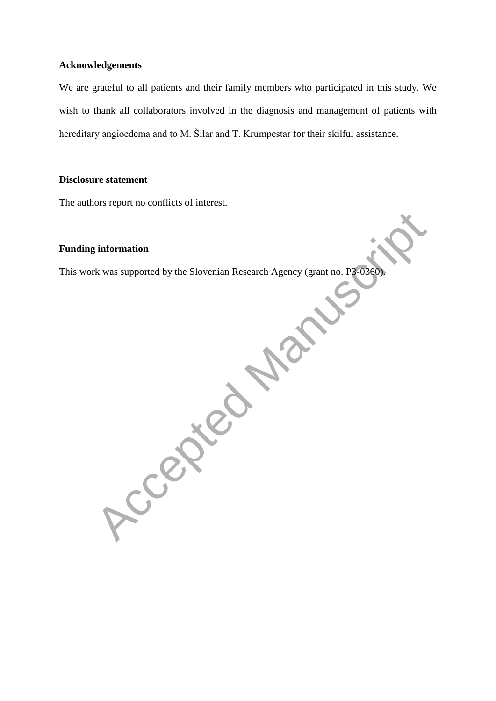# **Acknowledgements**

We are grateful to all patients and their family members who participated in this study. We wish to thank all collaborators involved in the diagnosis and management of patients with hereditary angioedema and to M. Šilar and T. Krumpestar for their skilful assistance.

#### **Disclosure statement**

The authors report no conflicts of interest.

# **Funding information**

This work was supported by the Slovenian Research Agency (grant no. P3-0360). <br>
Accepted Manuscription of Manuscription of Manuscription of Manuscription of Manuscription of Manuscription of Manuscription of Manuscription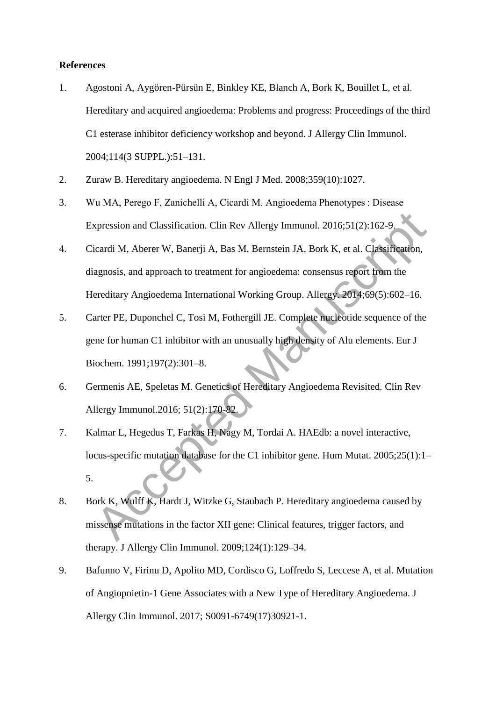#### **References**

- 1. Agostoni A, Aygören-Pürsün E, Binkley KE, Blanch A, Bork K, Bouillet L, et al. Hereditary and acquired angioedema: Problems and progress: Proceedings of the third C1 esterase inhibitor deficiency workshop and beyond. J Allergy Clin Immunol. 2004;114(3 SUPPL.):51–131.
- 2. Zuraw B. Hereditary angioedema. N Engl J Med. 2008;359(10):1027.
- 3. Wu MA, Perego F, Zanichelli A, Cicardi M. Angioedema Phenotypes : Disease Expression and Classification. Clin Rev Allergy Immunol. 2016;51(2):162-9.
- 4. Cicardi M, Aberer W, Banerji A, Bas M, Bernstein JA, Bork K, et al. Classification, diagnosis, and approach to treatment for angioedema: consensus report from the Hereditary Angioedema International Working Group. Allergy. 2014;69(5):602–16.
- 5. Carter PE, Duponchel C, Tosi M, Fothergill JE. Complete nucleotide sequence of the gene for human C1 inhibitor with an unusually high density of Alu elements. Eur J Biochem. 1991;197(2):301–8.
- 6. Germenis AE, Speletas M. Genetics of Hereditary Angioedema Revisited. Clin Rev Allergy Immunol.2016; 51(2):170-82.
- 7. Kalmar L, Hegedus T, Farkas H, Nagy M, Tordai A. HAEdb: a novel interactive, locus-specific mutation database for the C1 inhibitor gene. Hum Mutat. 2005;25(1):1– 5. xpression and Classification. Clin Rev Allergy Immunol. 2016;51(2):162-9.<br>
icardi M, Aberer W, Banerji A, Bas M, Bernstein JA, Bork K, et al. Classification,<br>
agnosis, and approach to treatment for angioedema: consensus re
- 8. Bork K, Wulff K, Hardt J, Witzke G, Staubach P. Hereditary angioedema caused by missense mutations in the factor XII gene: Clinical features, trigger factors, and therapy. J Allergy Clin Immunol. 2009;124(1):129–34.
- 9. Bafunno V, Firinu D, Apolito MD, Cordisco G, Loffredo S, Leccese A, et al. Mutation of Angiopoietin-1 Gene Associates with a New Type of Hereditary Angioedema. J Allergy Clin Immunol. 2017; S0091-6749(17)30921-1.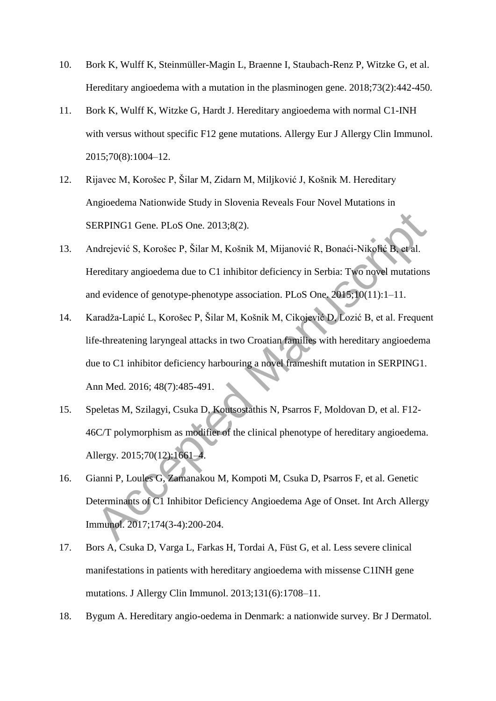- 10. Bork K, Wulff K, Steinmüller-Magin L, Braenne I, Staubach-Renz P, Witzke G, et al. Hereditary angioedema with a mutation in the plasminogen gene. 2018;73(2):442-450.
- 11. Bork K, Wulff K, Witzke G, Hardt J. Hereditary angioedema with normal C1-INH with versus without specific F12 gene mutations. Allergy Eur J Allergy Clin Immunol. 2015;70(8):1004–12.
- 12. Rijavec M, Korošec P, Šilar M, Zidarn M, Miljković J, Košnik M. Hereditary Angioedema Nationwide Study in Slovenia Reveals Four Novel Mutations in SERPING1 Gene. PLoS One. 2013;8(2).
- 13. Andrejević S, Korošec P, Šilar M, Košnik M, Mijanović R, Bonaći-Nikolić B, et al. Hereditary angioedema due to C1 inhibitor deficiency in Serbia: Two novel mutations and evidence of genotype-phenotype association. PLoS One. 2015;10(11):1–11.
- 14. Karadža-Lapić L, Korošec P, Šilar M, Košnik M, Cikojević D, Lozić B, et al. Frequent life-threatening laryngeal attacks in two Croatian families with hereditary angioedema due to C1 inhibitor deficiency harbouring a novel frameshift mutation in SERPING1. Ann Med. 2016; 48(7):485-491. ERPINGI Gene. PLoS One. 2013;8(2).<br>
Indrejević S, Korošec P, Šilar M, Košnik M, Mijanović R, Bonaći-Nikolić B, et al.<br>
Ereditary angioedema due to C1 inhibitor deficiency in Serbia: Two novel mutation<br>
Indevidence of genot
- 15. Speletas M, Szilagyi, Csuka D, Koutsostathis N, Psarros F, Moldovan D, et al. F12- 46C/T polymorphism as modifier of the clinical phenotype of hereditary angioedema. Allergy. 2015;70(12):1661–4.
- 16. Gianni P, Loules G, Zamanakou M, Kompoti M, Csuka D, Psarros F, et al. Genetic Determinants of C1 Inhibitor Deficiency Angioedema Age of Onset. Int Arch Allergy Immunol. 2017;174(3-4):200-204.
- 17. Bors A, Csuka D, Varga L, Farkas H, Tordai A, Füst G, et al. Less severe clinical manifestations in patients with hereditary angioedema with missense C1INH gene mutations. J Allergy Clin Immunol. 2013;131(6):1708–11.
- 18. Bygum A. Hereditary angio-oedema in Denmark: a nationwide survey. Br J Dermatol.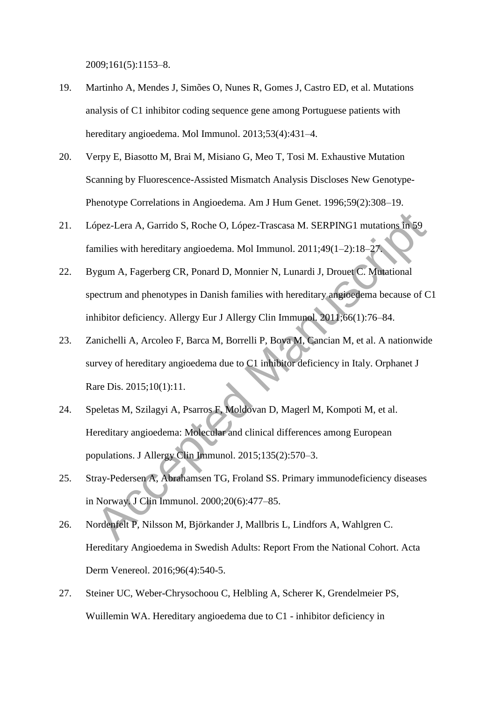2009;161(5):1153–8.

- 19. Martinho A, Mendes J, Simões O, Nunes R, Gomes J, Castro ED, et al. Mutations analysis of C1 inhibitor coding sequence gene among Portuguese patients with hereditary angioedema. Mol Immunol. 2013;53(4):431-4.
- 20. Verpy E, Biasotto M, Brai M, Misiano G, Meo T, Tosi M. Exhaustive Mutation Scanning by Fluorescence-Assisted Mismatch Analysis Discloses New Genotype-Phenotype Correlations in Angioedema. Am J Hum Genet. 1996;59(2):308–19.
- 21. López-Lera A, Garrido S, Roche O, López-Trascasa M. SERPING1 mutations in 59 families with hereditary angioedema. Mol Immunol. 2011;49(1–2):18–27.
- 22. Bygum A, Fagerberg CR, Ponard D, Monnier N, Lunardi J, Drouet C. Mutational spectrum and phenotypes in Danish families with hereditary angioedema because of C1 inhibitor deficiency. Allergy Eur J Allergy Clin Immunol. 2011;66(1):76–84. Spez-Lera A, Garrido S, Roche O, López-Trascasa M. SERPING1 mutations in 59<br>milies with hereditary angioedema. Mol Immunol. 2011;49(1–2):18–27<br>ygum A, Fagerberg CR, Ponard D, Monnier N, Lunardi J, Drouet C. Montaional<br>pect
- 23. Zanichelli A, Arcoleo F, Barca M, Borrelli P, Bova M, Cancian M, et al. A nationwide survey of hereditary angioedema due to C1 inhibitor deficiency in Italy. Orphanet J Rare Dis. 2015;10(1):11.
- 24. Speletas M, Szilagyi A, Psarros F, Moldovan D, Magerl M, Kompoti M, et al. Hereditary angioedema: Molecular and clinical differences among European populations. J Allergy Clin Immunol. 2015;135(2):570–3.
- 25. Stray-Pedersen A, Abrahamsen TG, Froland SS. Primary immunodeficiency diseases in Norway. J Clin Immunol. 2000;20(6):477–85.
- 26. Nordenfelt P, Nilsson M, Björkander J, Mallbris L, Lindfors A, Wahlgren C. Hereditary Angioedema in Swedish Adults: Report From the National Cohort. Acta Derm Venereol. 2016;96(4):540-5.
- 27. Steiner UC, Weber-Chrysochoou C, Helbling A, Scherer K, Grendelmeier PS, Wuillemin WA. Hereditary angioedema due to C1 - inhibitor deficiency in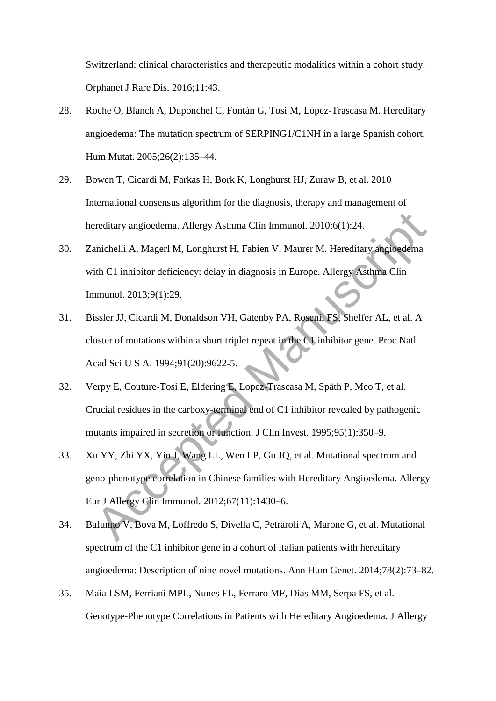Switzerland: clinical characteristics and therapeutic modalities within a cohort study. Orphanet J Rare Dis. 2016;11:43.

- 28. Roche O, Blanch A, Duponchel C, Fontán G, Tosi M, López-Trascasa M. Hereditary angioedema: The mutation spectrum of SERPING1/C1NH in a large Spanish cohort. Hum Mutat. 2005;26(2):135–44.
- 29. Bowen T, Cicardi M, Farkas H, Bork K, Longhurst HJ, Zuraw B, et al. 2010 International consensus algorithm for the diagnosis, therapy and management of hereditary angioedema. Allergy Asthma Clin Immunol. 2010;6(1):24.
- 30. Zanichelli A, Magerl M, Longhurst H, Fabien V, Maurer M. Hereditary angioedema with C1 inhibitor deficiency: delay in diagnosis in Europe. Allergy Asthma Clin Immunol. 2013;9(1):29.
- 31. Bissler JJ, Cicardi M, Donaldson VH, Gatenby PA, Rosenii FS, Sheffer AL, et al. A cluster of mutations within a short triplet repeat in the C1 inhibitor gene. Proc Natl Acad Sci U S A. 1994;91(20):9622-5.
- 32. Verpy E, Couture-Tosi E, Eldering E, Lopez-Trascasa M, Späth P, Meo T, et al. Crucial residues in the carboxy-terminal end of C1 inhibitor revealed by pathogenic mutants impaired in secretion or function. J Clin Invest. 1995;95(1):350–9.
- 33. Xu YY, Zhi YX, Yin J, Wang LL, Wen LP, Gu JQ, et al. Mutational spectrum and geno-phenotype correlation in Chinese families with Hereditary Angioedema. Allergy Eur J Allergy Clin Immunol. 2012;67(11):1430–6. ereditary angioedema. Allergy Asthma Clin Immunol. 2010;6(1):24.<br>
antichelli A, Magerl M, Longhurst H, Fabien V, Maurer M. Hereditary angioedema<br>
ith C1 inhibitor deficiency: delay in diagnosis in Europe. Allergy Asthma Cl
- 34. Bafunno V, Bova M, Loffredo S, Divella C, Petraroli A, Marone G, et al. Mutational spectrum of the C1 inhibitor gene in a cohort of italian patients with hereditary angioedema: Description of nine novel mutations. Ann Hum Genet. 2014;78(2):73–82.
- 35. Maia LSM, Ferriani MPL, Nunes FL, Ferraro MF, Dias MM, Serpa FS, et al. Genotype-Phenotype Correlations in Patients with Hereditary Angioedema. J Allergy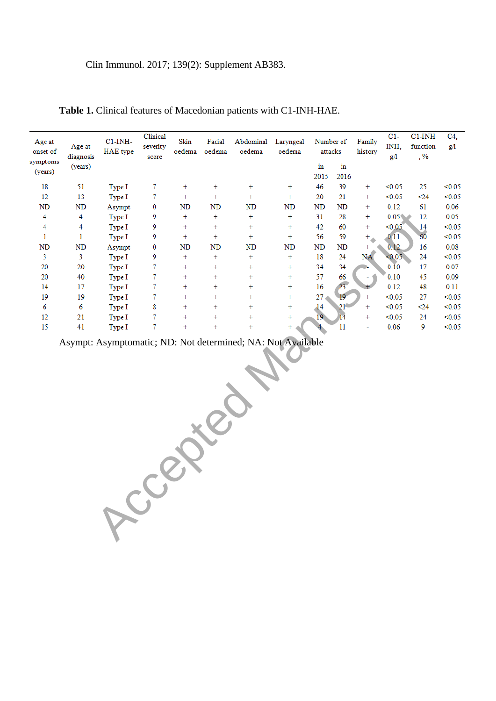#### Clin Immunol. 2017; 139(2): Supplement AB383.

| Age at<br>onset of<br>symptoms | Age at<br>diagnosis | $C1$ -INH-<br>HAE type | Clinical<br>severity<br>score | Skin<br>oedema | Facial<br>oedema | Abdominal<br>oedema | Laryngeal<br>oedema | Number of<br>attacks |                 | Family<br>history | $C1-$<br>INH,<br>g/1 | $C1$ -IN $H$<br>function<br>$, \frac{9}{6}$ | C <sub>4</sub><br>g/1 |
|--------------------------------|---------------------|------------------------|-------------------------------|----------------|------------------|---------------------|---------------------|----------------------|-----------------|-------------------|----------------------|---------------------------------------------|-----------------------|
| (years)                        | (years)             |                        |                               |                |                  |                     |                     | in                   | in              |                   |                      |                                             |                       |
|                                |                     |                        |                               |                |                  |                     |                     | 2015                 | 2016            |                   |                      |                                             |                       |
| 18                             | 51                  | Type I                 | $\tau$                        | $\ddot{}$      | $+$              | $^{+}$              | $+$                 | 46                   | 39              | $^{+}$            | < 0.05               | 25                                          | < 0.05                |
| 12                             | 13                  | Type I                 | 7                             | $^{+}$         | $+$              | $^{+}$              | $^{+}$              | 20                   | 21              | $^{+}$            | < 0.05               | $\leq$ 24                                   | < 0.05                |
| ND                             | ND                  | Asympt                 | $\bf{0}$                      | ND             | <b>ND</b>        | ND                  | <b>ND</b>           | ND                   | ND              | $^{+}$            | 0.12                 | 61                                          | 0.06                  |
| 4                              | 4                   | Type I                 | 9                             | $^{+}$         | $+$              | $^{+}$              | $^{+}$              | 31                   | 28              | $+$               | 0.05 <sub>0</sub>    | 12<br>∸                                     | 0.05                  |
| 4                              | 4                   | Type I                 | 9                             | $^{+}$         | $+$              | $^{+}$              | $^{+}$              | 42                   | 60              | $^{+}$            | < 0.05               | 14                                          | < 0.05                |
| 1                              |                     | Type I                 | 9                             | $^{+}$         | $+$              | $^{+}$              | $^{+}$              | 56                   | 59              | $+$               | 0.11                 | 60                                          | < 0.05                |
| ND                             | ND                  | Asympt                 | $\bf{0}$                      | ND             | ND               | ND                  | <b>ND</b>           | ND                   | ND              | $\ddot{}$         | 0.12                 | 16                                          | 0.08                  |
| 3                              | 3                   | Type I                 | 9                             | $^{+}$         | $+$              | $^{+}$              | $+$                 | 18                   | 24              | NA                | < 0.05               | 24                                          | < 0.05                |
| 20                             | 20                  | Type I                 | 7                             | $^{+}$         | $+$              | $^{+}$              | $+$                 | 34                   | 34              |                   | 0.10                 | 17                                          | 0.07                  |
| 20                             | 40                  | Type I                 | 7                             | $^{+}$         | $+$              | $^{+}$              | $+$                 | 57                   | 66              |                   | 0.10                 | 45                                          | 0.09                  |
| 14                             | 17                  | Type I                 | 7                             | $\ddot{}$      | $+$              | $^{+}$              | $^{+}$              | 16                   | 23 <sup>°</sup> |                   | 0.12                 | 48                                          | 0.11                  |
| 19                             | 19                  | Type I                 | 7                             | $\ddot{}$      | $+$              | $^{+}$              | $+$                 | 27                   | 19 <sup>°</sup> | $^{+}$            | < 0.05               | 27                                          | < 0.05                |
| 6                              | 6                   | Type I                 | 8                             | $^{+}$         | $+$              | $^{+}$              | $^{+}$              | 14                   | 21              | $^{+}$            | < 0.05               | $\leq 24$                                   | < 0.05                |
| 12                             | 21                  | Type I                 | 7                             | $^{+}$         | $+$              | $^{+}$              | $^{+}$              | 19                   | 14              | $+$               | < 0.05               | 24                                          | < 0.05                |
| 15                             | 41                  | Type I                 | 7                             | $\ddot{}$      | $+$              | $^{+}$              | $^{+}$              |                      | 11              | ٠                 | 0.06                 | 9                                           | < 0.05                |

#### **Table 1.** Clinical features of Macedonian patients with C1-INH-HAE.

Asympt: Asymptomatic; ND: Not determined; NA: Not Available<br>
Accepted Manuscription<br>
Accepted Manuscription<br>
Accepted Manuscription<br>
Accepted Manuscription<br>
Accepted Manuscription<br>
Accepted Manuscription<br>
Accepted Manuscri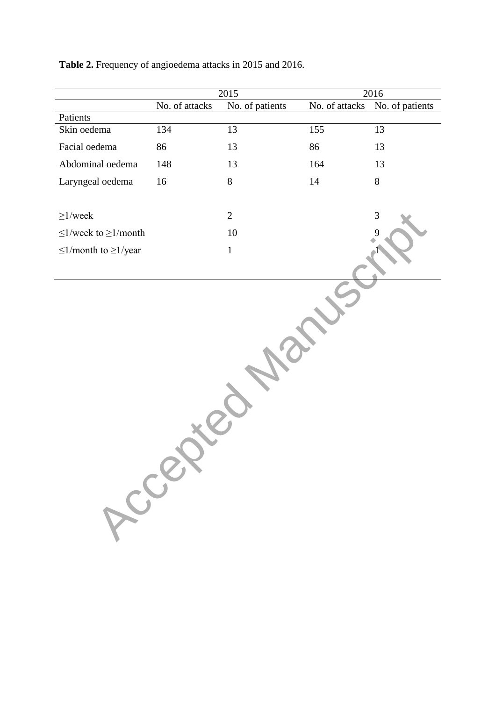|                                 |                | $\overline{20}15$ | 2016           |                 |  |  |
|---------------------------------|----------------|-------------------|----------------|-----------------|--|--|
|                                 | No. of attacks | No. of patients   | No. of attacks | No. of patients |  |  |
| Patients                        |                |                   |                |                 |  |  |
| Skin oedema                     | 134            | 13                | 155            | 13              |  |  |
| Facial oedema                   | 86             | 13                | 86             | 13              |  |  |
| Abdominal oedema                | 148            | 13                | 164            | 13              |  |  |
| Laryngeal oedema                | 16             | 8                 | $14\,$         | $8\,$           |  |  |
|                                 |                |                   |                |                 |  |  |
| $\geq$ 1/week                   |                | $\overline{2}$    |                | 3               |  |  |
| $\leq$ 1/week to $\geq$ 1/month |                | 10                |                |                 |  |  |
| $\leq$ 1/month to $\geq$ 1/year |                | $\,1\,$           |                |                 |  |  |
|                                 |                |                   |                |                 |  |  |
|                                 | Acces          |                   |                |                 |  |  |

**Table 2.** Frequency of angioedema attacks in 2015 and 2016.